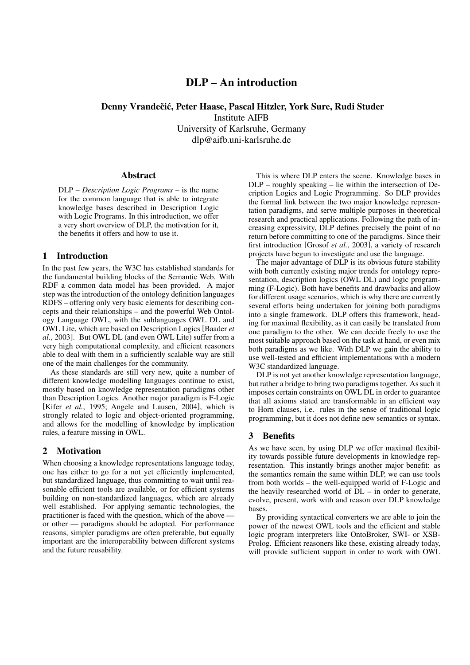# DLP – An introduction

Denny Vrandečić, Peter Haase, Pascal Hitzler, York Sure, Rudi Studer Institute AIFB University of Karlsruhe, Germany

dlp@aifb.uni-karlsruhe.de

### Abstract

DLP – *Description Logic Programs* – is the name for the common language that is able to integrate knowledge bases described in Description Logic with Logic Programs. In this introduction, we offer a very short overview of DLP, the motivation for it, the benefits it offers and how to use it.

# 1 Introduction

In the past few years, the W3C has established standards for the fundamental building blocks of the Semantic Web. With RDF a common data model has been provided. A major step was the introduction of the ontology definition languages RDFS – offering only very basic elements for describing concepts and their relationships – and the powerful Web Ontology Language OWL, with the sublanguages OWL DL and OWL Lite, which are based on Description Logics [Baader *et al.*, 2003]. But OWL DL (and even OWL Lite) suffer from a very high computational complexity, and efficient reasoners able to deal with them in a sufficiently scalable way are still one of the main challenges for the community.

As these standards are still very new, quite a number of different knowledge modelling languages continue to exist, mostly based on knowledge representation paradigms other than Description Logics. Another major paradigm is F-Logic [Kifer *et al.*, 1995; Angele and Lausen, 2004], which is strongly related to logic and object-oriented programming, and allows for the modelling of knowledge by implication rules, a feature missing in OWL.

# 2 Motivation

When choosing a knowledge representations language today, one has either to go for a not yet efficiently implemented, but standardized language, thus committing to wait until reasonable efficient tools are available, or for efficient systems building on non-standardized languages, which are already well established. For applying semantic technologies, the practitioner is faced with the question, which of the above or other — paradigms should be adopted. For performance reasons, simpler paradigms are often preferable, but equally important are the interoperability between different systems and the future reusability.

This is where DLP enters the scene. Knowledge bases in DLP – roughly speaking – lie within the intersection of Decription Logics and Logic Programming. So DLP provides the formal link between the two major knowledge representation paradigms, and serve multiple purposes in theoretical research and practical applications. Following the path of increasing expressivity, DLP defines precisely the point of no return before committing to one of the paradigms. Since their first introduction [Grosof *et al.*, 2003], a variety of research projects have begun to investigate and use the language.

The major advantage of DLP is its obvious future stability with both currently existing major trends for ontology representation, description logics (OWL DL) and logic programming (F-Logic). Both have benefits and drawbacks and allow for different usage scenarios, which is why there are currently several efforts being undertaken for joining both paradigms into a single framework. DLP offers this framework, heading for maximal flexibility, as it can easily be translated from one paradigm to the other. We can decide freely to use the most suitable approach based on the task at hand, or even mix both paradigms as we like. With DLP we gain the ability to use well-tested and efficient implementations with a modern W3C standardized language.

DLP is not yet another knowledge representation language, but rather a bridge to bring two paradigms together. As such it imposes certain constraints on OWL DL in order to guarantee that all axioms stated are transformable in an efficient way to Horn clauses, i.e. rules in the sense of traditional logic programming, but it does not define new semantics or syntax.

#### 3 Benefits

As we have seen, by using DLP we offer maximal flexibility towards possible future developments in knowledge representation. This instantly brings another major benefit: as the semantics remain the same within DLP, we can use tools from both worlds – the well-equipped world of F-Logic and the heavily researched world of  $DL - in$  order to generate, evolve, present, work with and reason over DLP knowledge bases.

By providing syntactical converters we are able to join the power of the newest OWL tools and the efficient and stable logic program interpreters like OntoBroker, SWI- or XSB-Prolog. Efficient reasoners like these, existing already today, will provide sufficient support in order to work with OWL